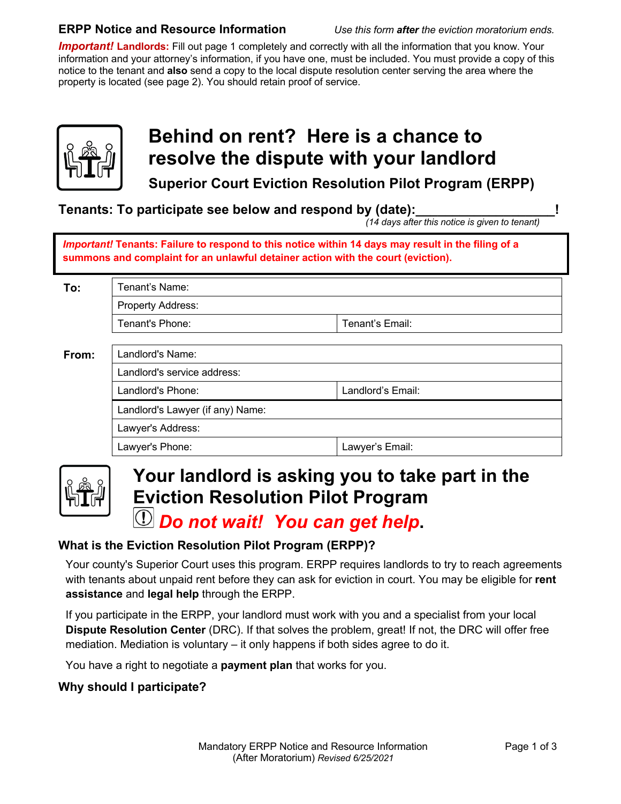#### **ERPP Notice and Resource Information** *Use this form after the eviction moratorium ends.*

*Important!* **Landlords:** Fill out page 1 completely and correctly with all the information that you know. Your information and your attorney's information, if you have one, must be included. You must provide a copy of this notice to the tenant and **also** send a copy to the local dispute resolution center serving the area where the property is located (see page 2). You should retain proof of service.



## **Behind on rent? Here is a chance to resolve the dispute with your landlord**

**Superior Court Eviction Resolution Pilot Program (ERPP)**

**Tenants: To participate see below and respond by (date):** 

 *(14 days after this notice is given to tenant)*

*Important!* **Tenants: Failure to respond to this notice within 14 days may result in the filing of a summons and complaint for an unlawful detainer action with the court (eviction).**

| To:   | Tenant's Name:                   |                   |  |
|-------|----------------------------------|-------------------|--|
|       | Property Address:                |                   |  |
|       | Tenant's Phone:                  | Tenant's Email:   |  |
|       |                                  |                   |  |
| From: | Landlord's Name:                 |                   |  |
|       | Landlord's service address:      |                   |  |
|       | Landlord's Phone:                | Landlord's Email: |  |
|       | Landlord's Lawyer (if any) Name: |                   |  |
|       | Lawyer's Address:                |                   |  |
|       | Lawyer's Phone:                  | Lawyer's Email:   |  |



# **Your landlord is asking you to take part in the Eviction Resolution Pilot Program**

### *Do not wait! You can get help***.**

### **What is the Eviction Resolution Pilot Program (ERPP)?**

Your county's Superior Court uses this program. ERPP requires landlords to try to reach agreements with tenants about unpaid rent before they can ask for eviction in court. You may be eligible for **rent assistance** and **legal help** through the ERPP.

If you participate in the ERPP, your landlord must work with you and a specialist from your local **Dispute Resolution Center** (DRC). If that solves the problem, great! If not, the DRC will offer free mediation. Mediation is voluntary – it only happens if both sides agree to do it.

You have a right to negotiate a **payment plan** that works for you.

### **Why should I participate?**